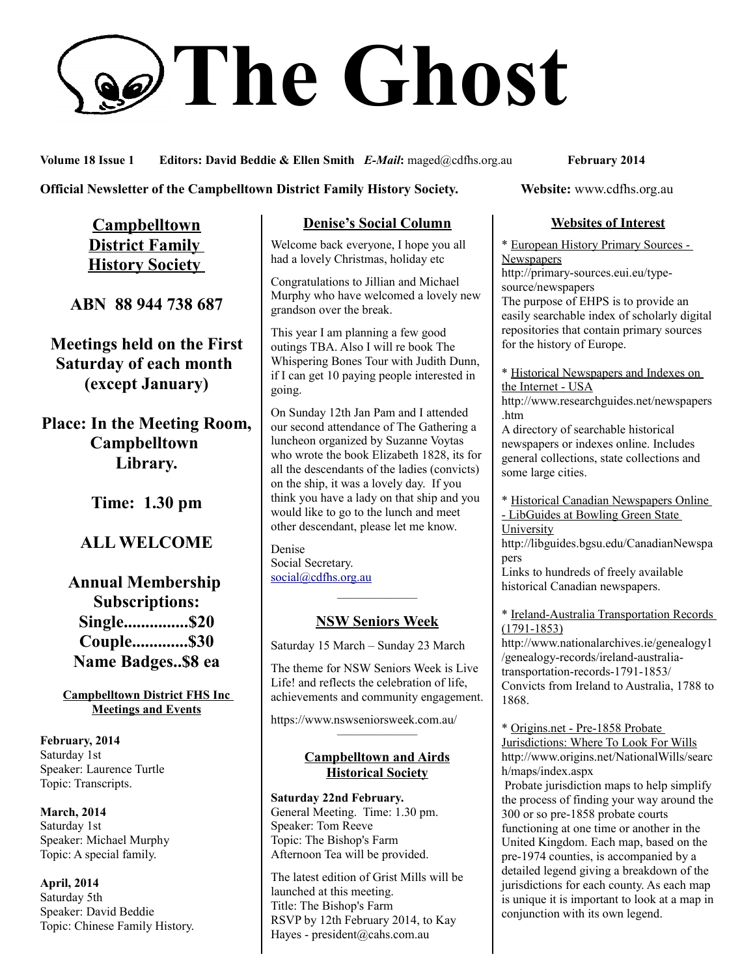# **The Ghost**

**Volume 18 Issue 1 Editors: David Beddie & Ellen Smith** *E-Mail***:** maged@cdfhs.org.au **February 2014**

**Official Newsletter of the Campbelltown District Family History Society. Website: www.cdfhs.org.au** 

**Campbelltown District Family History Society** 

**ABN 88 944 738 687**

**Meetings held on the First Saturday of each month (except January)**

**Place: In the Meeting Room, Campbelltown Library.**

**Time: 1.30 pm**

# **ALL WELCOME**

**Annual Membership Subscriptions: Single...............\$20 Couple.............\$30 Name Badges..\$8 ea**

**Campbelltown District FHS Inc Meetings and Events**

**February, 2014** Saturday 1st Speaker: Laurence Turtle Topic: Transcripts.

**March, 2014** Saturday 1st Speaker: Michael Murphy Topic: A special family.

**April, 2014** Saturday 5th Speaker: David Beddie Topic: Chinese Family History.

#### **Denise's Social Column**

Welcome back everyone, I hope you all had a lovely Christmas, holiday etc

Congratulations to Jillian and Michael Murphy who have welcomed a lovely new grandson over the break.

This year I am planning a few good outings TBA. Also I will re book The Whispering Bones Tour with Judith Dunn, if I can get 10 paying people interested in going.

On Sunday 12th Jan Pam and I attended our second attendance of The Gathering a luncheon organized by Suzanne Voytas who wrote the book Elizabeth 1828, its for all the descendants of the ladies (convicts) on the ship, it was a lovely day. If you think you have a lady on that ship and you would like to go to the lunch and meet other descendant, please let me know.

Denise Social Secretary. [social@cdfhs.org.au](mailto:social@cdfhs.org.au)

# ——————– **NSW Seniors Week**

Saturday 15 March – Sunday 23 March

The theme for NSW Seniors Week is Live Life! and reflects the celebration of life, achievements and community engagement.

https://www.nswseniorsweek.com.au/

#### **Campbelltown and Airds Historical Society**

——————–

**Saturday 22nd February.** General Meeting. Time: 1.30 pm. Speaker: Tom Reeve Topic: The Bishop's Farm Afternoon Tea will be provided.

The latest edition of Grist Mills will be launched at this meeting. Title: The Bishop's Farm RSVP by 12th February 2014, to Kay Hayes - president@cahs.com.au

#### **Websites of Interest**

\* European History Primary Sources - **Newspapers** 

http://primary-sources.eui.eu/typesource/newspapers

The purpose of EHPS is to provide an easily searchable index of scholarly digital repositories that contain primary sources for the history of Europe.

\* Historical Newspapers and Indexes on the Internet - USA

http://www.researchguides.net/newspapers .htm

A directory of searchable historical newspapers or indexes online. Includes general collections, state collections and some large cities.

\* Historical Canadian Newspapers Online

- LibGuides at Bowling Green State **University** 

http://libguides.bgsu.edu/CanadianNewspa pers

Links to hundreds of freely available historical Canadian newspapers.

\* Ireland-Australia Transportation Records (1791-1853)

http://www.nationalarchives.ie/genealogy1 /genealogy-records/ireland-australiatransportation-records-1791-1853/ Convicts from Ireland to Australia, 1788 to 1868.

\* Origins.net - Pre-1858 Probate Jurisdictions: Where To Look For Wills http://www.origins.net/NationalWills/searc h/maps/index.aspx Probate jurisdiction maps to help simplify the process of finding your way around the 300 or so pre-1858 probate courts

functioning at one time or another in the United Kingdom. Each map, based on the pre-1974 counties, is accompanied by a detailed legend giving a breakdown of the jurisdictions for each county. As each map is unique it is important to look at a map in conjunction with its own legend.